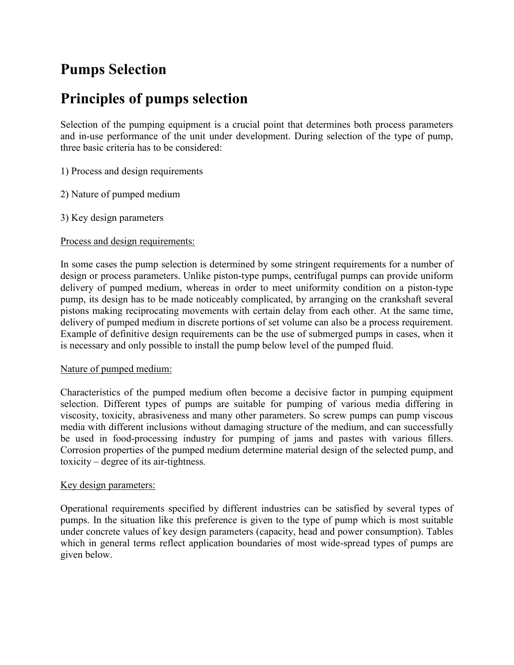# **Pumps Selection**

# **Principles of pumps selection**

Selection of the pumping equipment is a crucial point that determines both process parameters and in-use performance of the unit under development. During selection of the type of pump, three basic criteria has to be considered:

1) Process and design requirements

2) Nature of pumped medium

3) Key design parameters

## Process and design requirements:

In some cases the pump selection is determined by some stringent requirements for a number of design or process parameters. Unlike piston-type pumps, centrifugal pumps can provide uniform delivery of pumped medium, whereas in order to meet uniformity condition on a piston-type pump, its design has to be made noticeably complicated, by arranging on the crankshaft several pistons making reciprocating movements with certain delay from each other. At the same time, delivery of pumped medium in discrete portions of set volume can also be a process requirement. Example of definitive design requirements can be the use of submerged pumps in cases, when it is necessary and only possible to install the pump below level of the pumped fluid.

### Nature of pumped medium:

Characteristics of the pumped medium often become a decisive factor in pumping equipment selection. Different types of pumps are suitable for pumping of various media differing in viscosity, toxicity, abrasiveness and many other parameters. So screw pumps can pump viscous media with different inclusions without damaging structure of the medium, and can successfully be used in food-processing industry for pumping of jams and pastes with various fillers. Corrosion properties of the pumped medium determine material design of the selected pump, and toxicity – degree of its air-tightness.

### Key design parameters:

Operational requirements specified by different industries can be satisfied by several types of pumps. In the situation like this preference is given to the type of pump which is most suitable under concrete values of key design parameters (capacity, head and power consumption). Tables which in general terms reflect application boundaries of most wide-spread types of pumps are given below.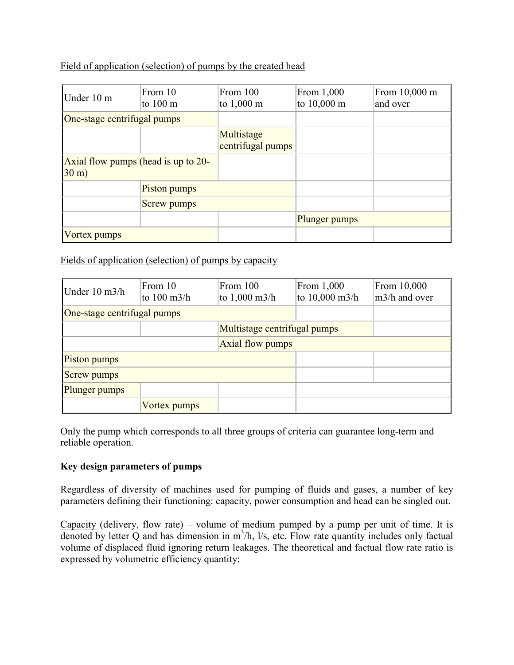# Field of application (selection) of pumps by the created head

| Under 10 m                                              | From 10<br>to $100 \text{ m}$ | From 100<br>to $1,000 \text{ m}$ | From 1,000<br>to 10,000 m | From 10,000 m<br>and over |
|---------------------------------------------------------|-------------------------------|----------------------------------|---------------------------|---------------------------|
| One-stage centrifugal pumps                             |                               |                                  |                           |                           |
|                                                         |                               | Multistage<br>centrifugal pumps  |                           |                           |
| Axial flow pumps (head is up to 20-<br>$30 \text{ m}$ ) |                               |                                  |                           |                           |
|                                                         | Piston pumps                  |                                  |                           |                           |
|                                                         | Screw pumps                   |                                  |                           |                           |
|                                                         |                               |                                  | Plunger pumps             |                           |
| Vortex pumps                                            |                               |                                  |                           |                           |

Fields of application (selection) of pumps by capacity

| Under $10 \text{ m}$ 3/h    | From 10<br>to $100 \text{ m}$ 3/h | From 100<br>to $1,000 \text{ m}$ 3/h | From 1,000<br>to 10,000 m3/h | From 10,000<br>m3/h and over |
|-----------------------------|-----------------------------------|--------------------------------------|------------------------------|------------------------------|
| One-stage centrifugal pumps |                                   |                                      |                              |                              |
|                             |                                   | Multistage centrifugal pumps         |                              |                              |
| <b>Axial flow pumps</b>     |                                   |                                      |                              |                              |
| Piston pumps                |                                   |                                      |                              |                              |
| <b>Screw pumps</b>          |                                   |                                      |                              |                              |
| Plunger pumps               |                                   |                                      |                              |                              |
|                             | Vortex pumps                      |                                      |                              |                              |

Only the pump which corresponds to all three groups of criteria can guarantee long-term and reliable operation.

# **Key design parameters of pumps**

Regardless of diversity of machines used for pumping of fluids and gases, a number of key parameters defining their functioning: capacity, power consumption and head can be singled out.

Capacity (delivery, flow rate) – volume of medium pumped by a pump per unit of time. It is denoted by letter  $Q$  and has dimension in  $m^3/h$ , l/s, etc. Flow rate quantity includes only factual volume of displaced fluid ignoring return leakages. The theoretical and factual flow rate ratio is expressed by volumetric efficiency quantity: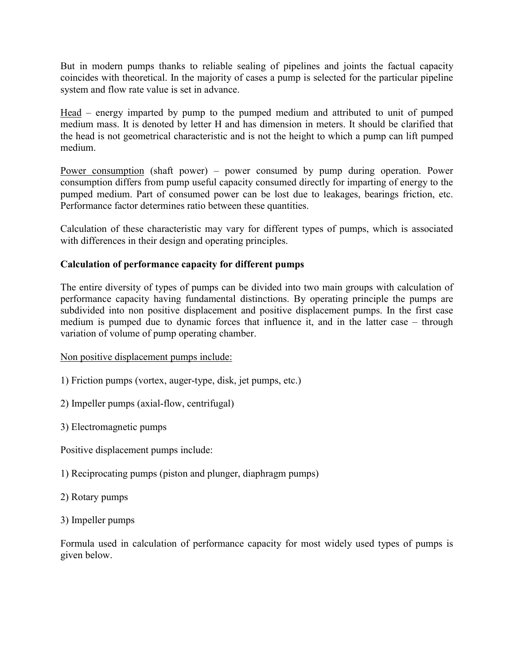But in modern pumps thanks to reliable sealing of pipelines and joints the factual capacity coincides with theoretical. In the majority of cases a pump is selected for the particular pipeline system and flow rate value is set in advance.

Head – energy imparted by pump to the pumped medium and attributed to unit of pumped medium mass. It is denoted by letter H and has dimension in meters. It should be clarified that the head is not geometrical characteristic and is not the height to which a pump can lift pumped medium.

Power consumption (shaft power) – power consumed by pump during operation. Power consumption differs from pump useful capacity consumed directly for imparting of energy to the pumped medium. Part of consumed power can be lost due to leakages, bearings friction, etc. Performance factor determines ratio between these quantities.

Calculation of these characteristic may vary for different types of pumps, which is associated with differences in their design and operating principles.

# **Calculation of performance capacity for different pumps**

The entire diversity of types of pumps can be divided into two main groups with calculation of performance capacity having fundamental distinctions. By operating principle the pumps are subdivided into non positive displacement and positive displacement pumps. In the first case medium is pumped due to dynamic forces that influence it, and in the latter case – through variation of volume of pump operating chamber.

# Non positive displacement pumps include:

- 1) Friction pumps (vortex, auger-type, disk, jet pumps, etc.)
- 2) Impeller pumps (axial-flow, centrifugal)
- 3) Electromagnetic pumps

Positive displacement pumps include:

- 1) Reciprocating pumps (piston and plunger, diaphragm pumps)
- 2) Rotary pumps
- 3) Impeller pumps

Formula used in calculation of performance capacity for most widely used types of pumps is given below.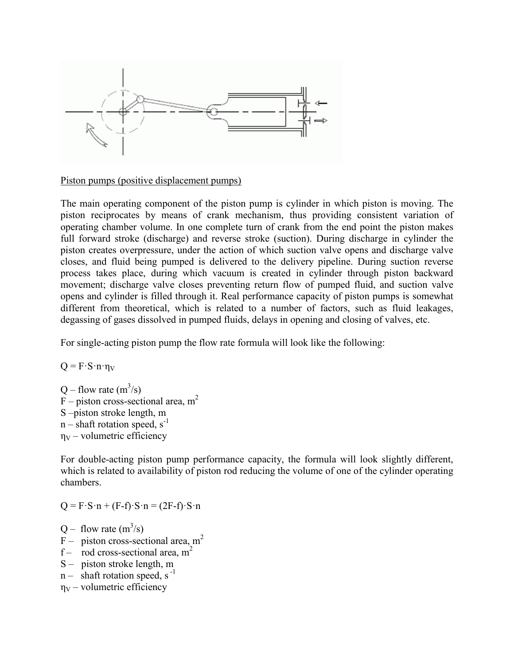

Piston pumps (positive displacement pumps)

The main operating component of the piston pump is cylinder in which piston is moving. The piston reciprocates by means of crank mechanism, thus providing consistent variation of operating chamber volume. In one complete turn of crank from the end point the piston makes full forward stroke (discharge) and reverse stroke (suction). During discharge in cylinder the piston creates overpressure, under the action of which suction valve opens and discharge valve closes, and fluid being pumped is delivered to the delivery pipeline. During suction reverse process takes place, during which vacuum is created in cylinder through piston backward movement; discharge valve closes preventing return flow of pumped fluid, and suction valve opens and cylinder is filled through it. Real performance capacity of piston pumps is somewhat different from theoretical, which is related to a number of factors, such as fluid leakages, degassing of gases dissolved in pumped fluids, delays in opening and closing of valves, etc.

For single-acting piston pump the flow rate formula will look like the following:

 $Q = F \cdot S \cdot n \cdot n_V$ 

Q – flow rate  $(m^3/s)$  $F$  – piston cross-sectional area, m<sup>2</sup> S –piston stroke length, m  $n$  – shaft rotation speed, s<sup>-1</sup>  $\eta_V$  – volumetric efficiency

For double-acting piston pump performance capacity, the formula will look slightly different, which is related to availability of piston rod reducing the volume of one of the cylinder operating chambers.

 $Q = F \cdot S \cdot n + (F-f) \cdot S \cdot n = (2F-f) \cdot S \cdot n$ 

 $Q$  – flow rate  $(m^3/s)$ 

- F piston cross-sectional area,  $m<sup>2</sup>$
- f rod cross-sectional area,  $m<sup>2</sup>$
- S piston stroke length, m
- $n -$  shaft rotation speed, s<sup>-1</sup>
- $\eta_V$  volumetric efficiency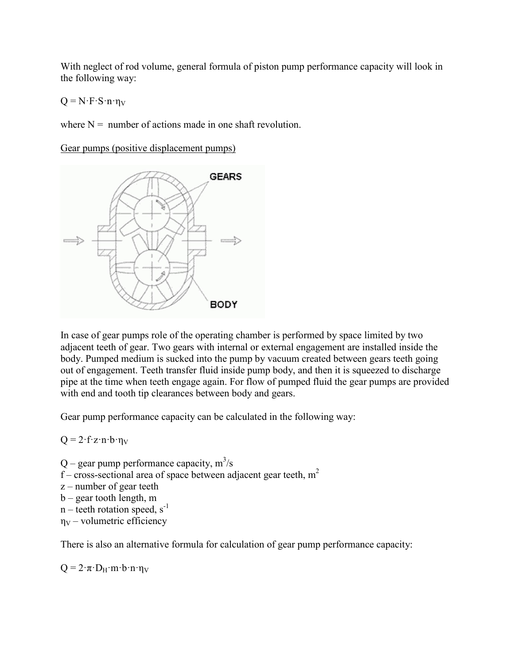With neglect of rod volume, general formula of piston pump performance capacity will look in the following way:

 $Q = N \cdot F \cdot S \cdot n \cdot \eta_V$ 

where  $N =$  number of actions made in one shaft revolution.

Gear pumps (positive displacement pumps)



In case of gear pumps role of the operating chamber is performed by space limited by two adjacent teeth of gear. Two gears with internal or external engagement are installed inside the body. Pumped medium is sucked into the pump by vacuum created between gears teeth going out of engagement. Teeth transfer fluid inside pump body, and then it is squeezed to discharge pipe at the time when teeth engage again. For flow of pumped fluid the gear pumps are provided with end and tooth tip clearances between body and gears.

Gear pump performance capacity can be calculated in the following way:

 $Q = 2 \cdot f \cdot z \cdot n \cdot b \cdot \eta_V$ 

Q – gear pump performance capacity,  $m^3/s$ f – cross-sectional area of space between adjacent gear teeth,  $m<sup>2</sup>$ z – number of gear teeth b – gear tooth length, m  $n$  – teeth rotation speed, s<sup>-1</sup>  $\eta_V$  – volumetric efficiency

There is also an alternative formula for calculation of gear pump performance capacity:

 $Q = 2 \cdot \pi \cdot D_H \cdot m \cdot b \cdot n \cdot \eta_V$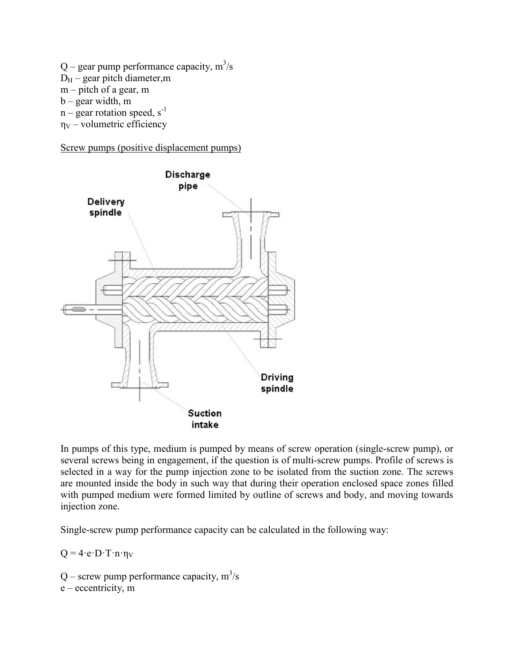Q – gear pump performance capacity,  $m^3/s$  $D_H$  – gear pitch diameter, m m – pitch of a gear, m b – gear width, m  $n -$  gear rotation speed,  $s^{-1}$  $\eta_V$  – volumetric efficiency

Screw pumps (positive displacement pumps)



In pumps of this type, medium is pumped by means of screw operation (single-screw pump), or several screws being in engagement, if the question is of multi-screw pumps. Profile of screws is selected in a way for the pump injection zone to be isolated from the suction zone. The screws are mounted inside the body in such way that during their operation enclosed space zones filled with pumped medium were formed limited by outline of screws and body, and moving towards injection zone.

Single-screw pump performance capacity can be calculated in the following way:

 $Q = 4 \cdot e \cdot D \cdot T \cdot n \cdot \eta_V$ 

Q – screw pump performance capacity,  $m^3/s$ 

e – eccentricity, m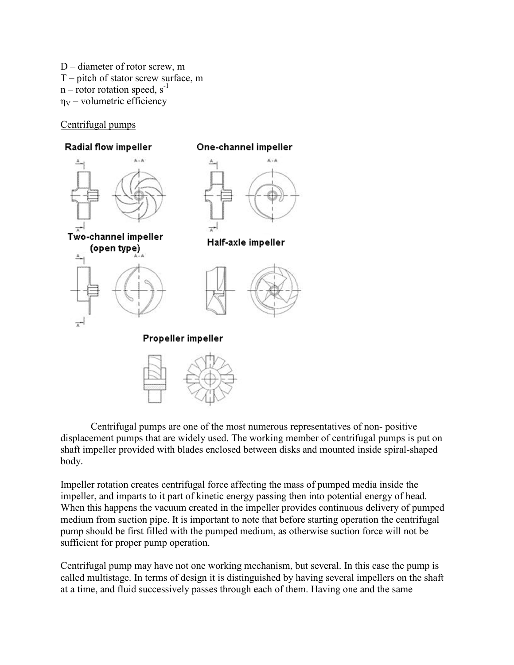D – diameter of rotor screw, m T – pitch of stator screw surface, m  $n$  – rotor rotation speed,  $s^{-1}$  $\eta_V$  – volumetric efficiency

## Centrifugal pumps



Centrifugal pumps are one of the most numerous representatives of non- positive displacement pumps that are widely used. The working member of centrifugal pumps is put on shaft impeller provided with blades enclosed between disks and mounted inside spiral-shaped body.

Impeller rotation creates centrifugal force affecting the mass of pumped media inside the impeller, and imparts to it part of kinetic energy passing then into potential energy of head. When this happens the vacuum created in the impeller provides continuous delivery of pumped medium from suction pipe. It is important to note that before starting operation the centrifugal pump should be first filled with the pumped medium, as otherwise suction force will not be sufficient for proper pump operation.

Centrifugal pump may have not one working mechanism, but several. In this case the pump is called multistage. In terms of design it is distinguished by having several impellers on the shaft at a time, and fluid successively passes through each of them. Having one and the same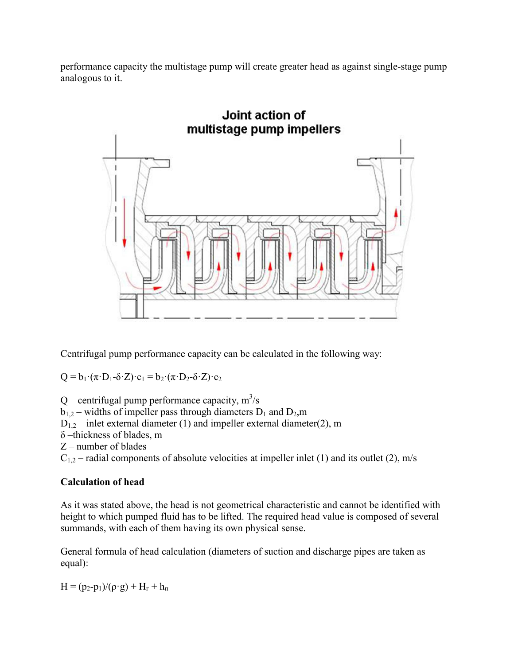performance capacity the multistage pump will create greater head as against single-stage pump analogous to it.



Centrifugal pump performance capacity can be calculated in the following way:

 $Q = b_1 \cdot (\pi \cdot D_1 - \delta \cdot Z) \cdot c_1 = b_2 \cdot (\pi \cdot D_2 - \delta \cdot Z) \cdot c_2$ 

Q – centrifugal pump performance capacity,  $m^3/s$  $b_{1,2}$  – widths of impeller pass through diameters  $D_1$  and  $D_2$ ,m  $D_{1,2}$  – inlet external diameter (1) and impeller external diameter(2), m δ –thickness of blades, m Z – number of blades  $C_{1,2}$  – radial components of absolute velocities at impeller inlet (1) and its outlet (2), m/s

# **Calculation of head**

As it was stated above, the head is not geometrical characteristic and cannot be identified with height to which pumped fluid has to be lifted. The required head value is composed of several summands, with each of them having its own physical sense.

General formula of head calculation (diameters of suction and discharge pipes are taken as equal):

 $H = (p_2-p_1)/(\rho \cdot g) + H_r + h_\text{H}$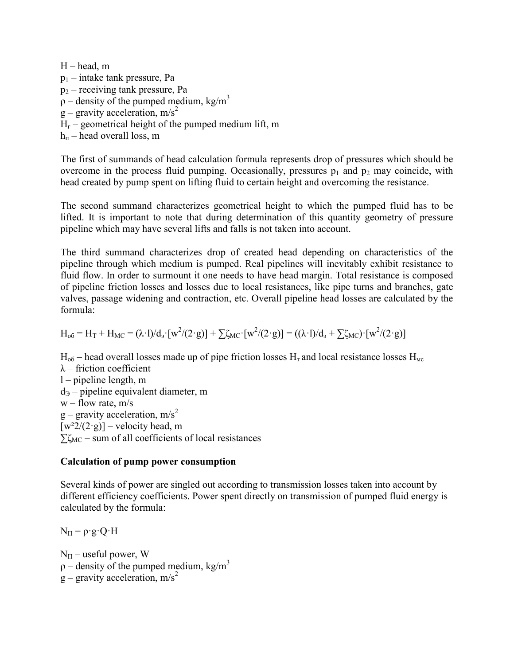$H$  – head, m  $p_1$  – intake tank pressure, Pa  $p_2$  – receiving tank pressure, Pa  $\rho$  – density of the pumped medium, kg/m<sup>3</sup>  $g$  – gravity acceleration, m/s<sup>2</sup>  $H_r$  – geometrical height of the pumped medium lift, m  $h_{\rm n}$  – head overall loss, m

The first of summands of head calculation formula represents drop of pressures which should be overcome in the process fluid pumping. Occasionally, pressures  $p_1$  and  $p_2$  may coincide, with head created by pump spent on lifting fluid to certain height and overcoming the resistance.

The second summand characterizes geometrical height to which the pumped fluid has to be lifted. It is important to note that during determination of this quantity geometry of pressure pipeline which may have several lifts and falls is not taken into account.

The third summand characterizes drop of created head depending on characteristics of the pipeline through which medium is pumped. Real pipelines will inevitably exhibit resistance to fluid flow. In order to surmount it one needs to have head margin. Total resistance is composed of pipeline friction losses and losses due to local resistances, like pipe turns and branches, gate valves, passage widening and contraction, etc. Overall pipeline head losses are calculated by the formula:

$$
H_{o6} = H_T + H_{MC} = (\lambda \cdot l)/d_3 \cdot [w^2/(2 \cdot g)] + \sum \zeta_{MC} \cdot [w^2/(2 \cdot g)] = ((\lambda \cdot l)/d_3 + \sum \zeta_{MC}) \cdot [w^2/(2 \cdot g)]
$$

 $H_{\text{o6}}$  – head overall losses made up of pipe friction losses  $H_{\text{r}}$  and local resistance losses  $H_{\text{mc}}$  $\lambda$  – friction coefficient l – pipeline length, m  $d_{\theta}$  – pipeline equivalent diameter, m  $w$  – flow rate, m/s  $g$  – gravity acceleration, m/s<sup>2</sup>  $[w^2/2(g)]$  – velocity head, m  $\sum \zeta_{MC}$  – sum of all coefficients of local resistances

### **Calculation of pump power consumption**

Several kinds of power are singled out according to transmission losses taken into account by different efficiency coefficients. Power spent directly on transmission of pumped fluid energy is calculated by the formula:

 $N_{\Pi} = \rho \cdot g \cdot Q \cdot H$ 

 $N_{\Pi}$  – useful power, W  $\rho$  – density of the pumped medium, kg/m<sup>3</sup>  $g$  – gravity acceleration, m/s<sup>2</sup>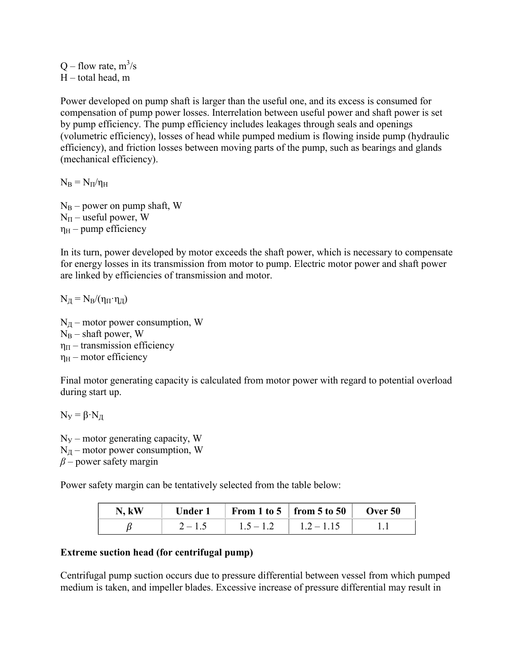$Q$  – flow rate,  $m^3/s$  $H$  – total head, m

Power developed on pump shaft is larger than the useful one, and its excess is consumed for compensation of pump power losses. Interrelation between useful power and shaft power is set by pump efficiency. The pump efficiency includes leakages through seals and openings (volumetric efficiency), losses of head while pumped medium is flowing inside pump (hydraulic efficiency), and friction losses between moving parts of the pump, such as bearings and glands (mechanical efficiency).

 $N_B = N_{\Pi}/n_H$ 

 $N_B$  – power on pump shaft, W  $N_{\Pi}$  – useful power, W  $\eta_H$  – pump efficiency

In its turn, power developed by motor exceeds the shaft power, which is necessary to compensate for energy losses in its transmission from motor to pump. Electric motor power and shaft power are linked by efficiencies of transmission and motor.

 $N_{\rm H} = N_{\rm B}/(\eta_{\rm H} \cdot \eta_{\rm H})$ 

 $N<sub>H</sub>$  – motor power consumption, W  $N_B$  – shaft power, W  $\eta_{\Pi}$  – transmission efficiency  $\eta_H$  – motor efficiency

Final motor generating capacity is calculated from motor power with regard to potential overload during start up.

 $N_y = \beta \cdot N_{\pi}$ 

 $N_y$  – motor generating capacity, W  $N<sub>H</sub>$  – motor power consumption, W *β –* power safety margin

Power safety margin can be tentatively selected from the table below:

| N, kW |           |             | Under 1   From 1 to 5   from 5 to 50   Over 50 |  |
|-------|-----------|-------------|------------------------------------------------|--|
|       | $2 - 1.5$ | $1.5 - 1.2$ | $1.2 - 1.15$                                   |  |

### **Extreme suction head (for centrifugal pump)**

Centrifugal pump suction occurs due to pressure differential between vessel from which pumped medium is taken, and impeller blades. Excessive increase of pressure differential may result in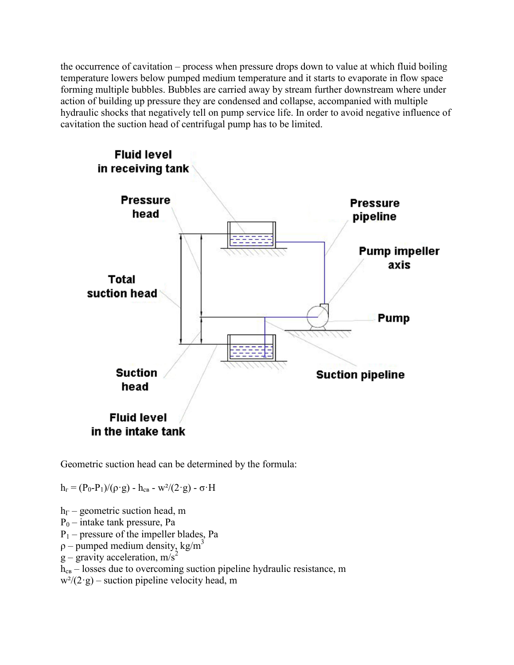the occurrence of cavitation – process when pressure drops down to value at which fluid boiling temperature lowers below pumped medium temperature and it starts to evaporate in flow space forming multiple bubbles. Bubbles are carried away by stream further downstream where under action of building up pressure they are condensed and collapse, accompanied with multiple hydraulic shocks that negatively tell on pump service life. In order to avoid negative influence of cavitation the suction head of centrifugal pump has to be limited.



Geometric suction head can be determined by the formula:

 $h_r = (P_0 - P_1)/(\rho \cdot g) - h_{cB} - w^2/(2 \cdot g) - \sigma \cdot H$ 

 $h_{\Gamma}$  – geometric suction head, m  $P_0$  – intake tank pressure, Pa  $P_1$  – pressure of the impeller blades, Pa  $p$  – pumped medium density, kg/m<sup>3</sup>  $g -$  gravity acceleration, m/s<sup>2</sup>  $h_{\text{CB}}$  – losses due to overcoming suction pipeline hydraulic resistance, m  $w^{2}/(2 \cdot g)$  – suction pipeline velocity head, m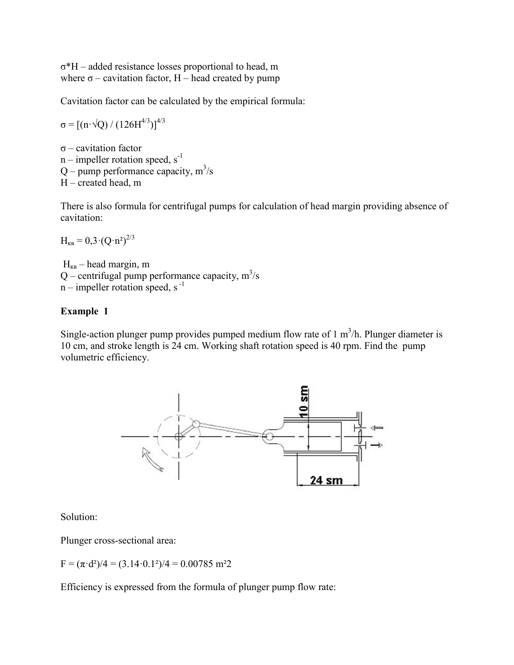σ\*H – added resistance losses proportional to head, m where  $\sigma$  – cavitation factor, H – head created by pump

Cavitation factor can be calculated by the empirical formula:

 $\sigma = \left[ \left( \text{n} \cdot \sqrt{\text{Q}} \right) / \left( 126 \text{H}^{4/3} \right) \right]^{4/3}$ 

σ – cavitation factor  $n$  – impeller rotation speed,  $s^{-1}$  $Q$  – pump performance capacity,  $m^3/s$ Н – created head, m

There is also formula for centrifugal pumps for calculation of head margin providing absence of cavitation:

 $H_{\text{KR}} = 0.3 \cdot (Q \cdot n^2)^{2/3}$ 

 $H_{KB}$  – head margin, m Q – centrifugal pump performance capacity,  $m^3/s$  $n$  – impeller rotation speed, s<sup>-1</sup>

# **Example 1**

Single-action plunger pump provides pumped medium flow rate of  $1 \text{ m}^3/\text{h}$ . Plunger diameter is 10 cm, and stroke length is 24 cm. Working shaft rotation speed is 40 rpm. Find the pump volumetric efficiency.



Solution:

Plunger cross-sectional area:

 $F = (\pi \cdot d^2)/4 = (3.14 \cdot 0.1^2)/4 = 0.00785$  m<sup>2</sup>2

Efficiency is expressed from the formula of plunger pump flow rate: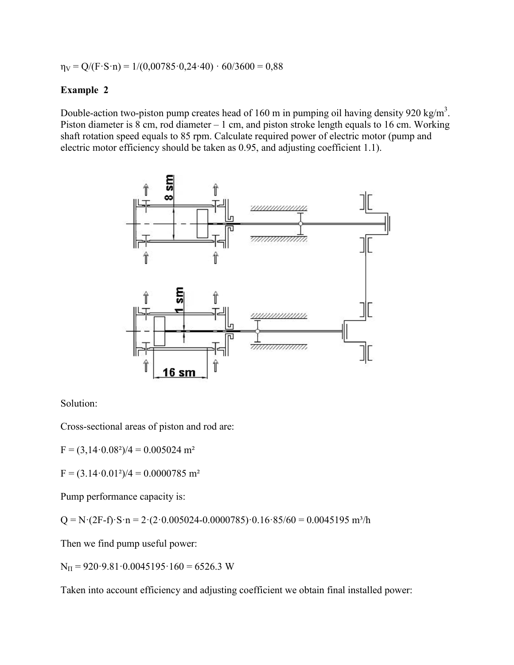$\eta_V = Q/(F \cdot S \cdot n) = 1/(0,00785 \cdot 0,24 \cdot 40) \cdot 60/3600 = 0,88$ 

### **Example 2**

Double-action two-piston pump creates head of 160 m in pumping oil having density 920 kg/m<sup>3</sup>. Piston diameter is 8 cm, rod diameter – 1 cm, and piston stroke length equals to 16 cm. Working shaft rotation speed equals to 85 rpm. Calculate required power of electric motor (pump and electric motor efficiency should be taken as 0.95, and adjusting coefficient 1.1).



Solution:

Cross-sectional areas of piston and rod are:

 $F = (3,14.0.08^2)/4 = 0.005024$  m<sup>2</sup>

 $F = (3.14 \cdot 0.01^2)/4 = 0.0000785$  m<sup>2</sup>

Pump performance capacity is:

 $Q = N \cdot (2F - f) \cdot S \cdot n = 2 \cdot (2 \cdot 0.005024 - 0.0000785) \cdot 0.16 \cdot 85/60 = 0.0045195 \text{ m}^3/\text{h}$ 

Then we find pump useful power:

 $N_{\text{II}}$  = 920.9.81.0.0045195.160 = 6526.3 W

Taken into account efficiency and adjusting coefficient we obtain final installed power: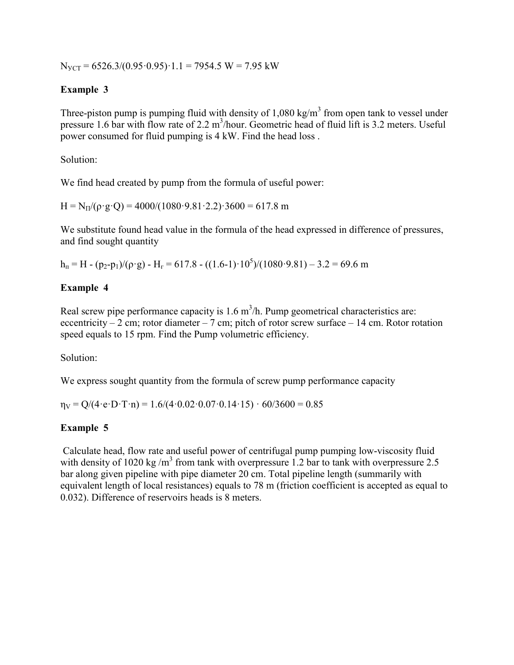$N_{VCT} = 6526.3/(0.95 \cdot 0.95) \cdot 1.1 = 7954.5 W = 7.95 kW$ 

# **Example 3**

Three-piston pump is pumping fluid with density of  $1,080 \text{ kg/m}^3$  from open tank to vessel under pressure 1.6 bar with flow rate of 2.2 m<sup>3</sup>/hour. Geometric head of fluid lift is 3.2 meters. Useful power consumed for fluid pumping is 4 kW. Find the head loss .

Solution:

We find head created by pump from the formula of useful power:

 $H = N_{\text{H}}/(\rho \cdot g \cdot O) = 4000/(1080 \cdot 9.81 \cdot 2.2) \cdot 3600 = 617.8 \text{ m}$ 

We substitute found head value in the formula of the head expressed in difference of pressures, and find sought quantity

 $h_n = H - (p_2 - p_1) / (\rho \cdot g) - H_r = 617.8 - ((1.6 - 1) \cdot 10^5) / (1080 \cdot 9.81) - 3.2 = 69.6$  m

## **Example 4**

Real screw pipe performance capacity is  $1.6 \text{ m}^3/h$ . Pump geometrical characteristics are: eccentricity – 2 cm; rotor diameter – 7 cm; pitch of rotor screw surface – 14 cm. Rotor rotation speed equals to 15 rpm. Find the Pump volumetric efficiency.

Solution:

We express sought quantity from the formula of screw pump performance capacity

 $\eta_V = Q/(4 \cdot e \cdot D \cdot T \cdot n) = 1.6/(4 \cdot 0.02 \cdot 0.07 \cdot 0.14 \cdot 15) \cdot 60/3600 = 0.85$ 

# **Example 5**

Calculate head, flow rate and useful power of centrifugal pump pumping low-viscosity fluid with density of 1020 kg/m<sup>3</sup> from tank with overpressure 1.2 bar to tank with overpressure 2.5 bar along given pipeline with pipe diameter 20 cm. Total pipeline length (summarily with equivalent length of local resistances) equals to 78 m (friction coefficient is accepted as equal to 0.032). Difference of reservoirs heads is 8 meters.